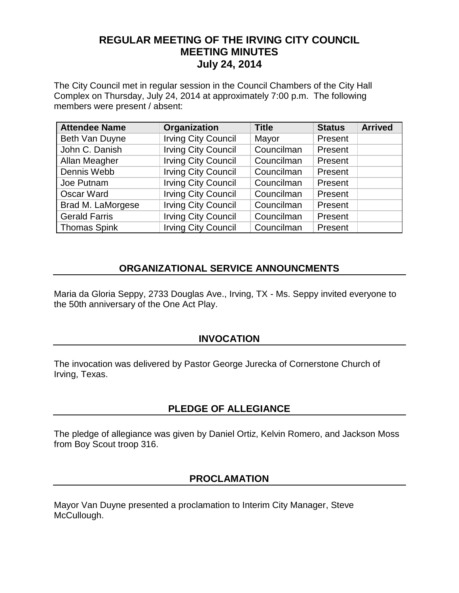# **REGULAR MEETING OF THE IRVING CITY COUNCIL MEETING MINUTES July 24, 2014**

The City Council met in regular session in the Council Chambers of the City Hall Complex on Thursday, July 24, 2014 at approximately 7:00 p.m. The following members were present / absent:

| <b>Attendee Name</b> | Organization               | <b>Title</b> | <b>Status</b> | <b>Arrived</b> |
|----------------------|----------------------------|--------------|---------------|----------------|
| Beth Van Duyne       | <b>Irving City Council</b> | Mayor        | Present       |                |
| John C. Danish       | <b>Irving City Council</b> | Councilman   | Present       |                |
| Allan Meagher        | <b>Irving City Council</b> | Councilman   | Present       |                |
| Dennis Webb          | <b>Irving City Council</b> | Councilman   | Present       |                |
| Joe Putnam           | <b>Irving City Council</b> | Councilman   | Present       |                |
| Oscar Ward           | <b>Irving City Council</b> | Councilman   | Present       |                |
| Brad M. LaMorgese    | <b>Irving City Council</b> | Councilman   | Present       |                |
| <b>Gerald Farris</b> | <b>Irving City Council</b> | Councilman   | Present       |                |
| <b>Thomas Spink</b>  | <b>Irving City Council</b> | Councilman   | Present       |                |

# **ORGANIZATIONAL SERVICE ANNOUNCMENTS**

Maria da Gloria Seppy, 2733 Douglas Ave., Irving, TX - Ms. Seppy invited everyone to the 50th anniversary of the One Act Play.

## **INVOCATION**

The invocation was delivered by Pastor George Jurecka of Cornerstone Church of Irving, Texas.

## **PLEDGE OF ALLEGIANCE**

The pledge of allegiance was given by Daniel Ortiz, Kelvin Romero, and Jackson Moss from Boy Scout troop 316.

### **PROCLAMATION**

Mayor Van Duyne presented a proclamation to Interim City Manager, Steve McCullough.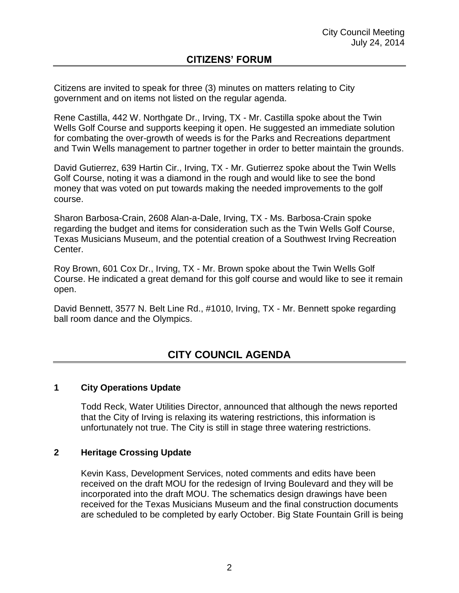Citizens are invited to speak for three (3) minutes on matters relating to City government and on items not listed on the regular agenda.

Rene Castilla, 442 W. Northgate Dr., Irving, TX - Mr. Castilla spoke about the Twin Wells Golf Course and supports keeping it open. He suggested an immediate solution for combating the over-growth of weeds is for the Parks and Recreations department and Twin Wells management to partner together in order to better maintain the grounds.

David Gutierrez, 639 Hartin Cir., Irving, TX - Mr. Gutierrez spoke about the Twin Wells Golf Course, noting it was a diamond in the rough and would like to see the bond money that was voted on put towards making the needed improvements to the golf course.

Sharon Barbosa-Crain, 2608 Alan-a-Dale, Irving, TX - Ms. Barbosa-Crain spoke regarding the budget and items for consideration such as the Twin Wells Golf Course, Texas Musicians Museum, and the potential creation of a Southwest Irving Recreation Center.

Roy Brown, 601 Cox Dr., Irving, TX - Mr. Brown spoke about the Twin Wells Golf Course. He indicated a great demand for this golf course and would like to see it remain open.

David Bennett, 3577 N. Belt Line Rd., #1010, Irving, TX - Mr. Bennett spoke regarding ball room dance and the Olympics.

# **CITY COUNCIL AGENDA**

#### **1 City Operations Update**

Todd Reck, Water Utilities Director, announced that although the news reported that the City of Irving is relaxing its watering restrictions, this information is unfortunately not true. The City is still in stage three watering restrictions.

#### **2 Heritage Crossing Update**

Kevin Kass, Development Services, noted comments and edits have been received on the draft MOU for the redesign of Irving Boulevard and they will be incorporated into the draft MOU. The schematics design drawings have been received for the Texas Musicians Museum and the final construction documents are scheduled to be completed by early October. Big State Fountain Grill is being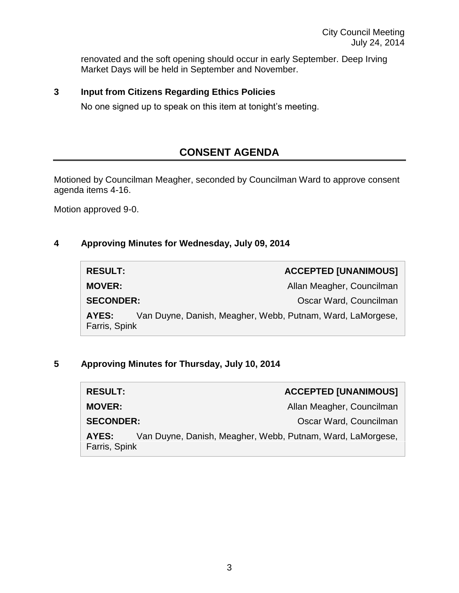renovated and the soft opening should occur in early September. Deep Irving Market Days will be held in September and November.

## **3 Input from Citizens Regarding Ethics Policies**

No one signed up to speak on this item at tonight's meeting.

# **CONSENT AGENDA**

Motioned by Councilman Meagher, seconded by Councilman Ward to approve consent agenda items 4-16.

Motion approved 9-0.

#### **4 Approving Minutes for Wednesday, July 09, 2014**

| <b>RESULT:</b>         | <b>ACCEPTED [UNANIMOUS]</b>                                |
|------------------------|------------------------------------------------------------|
| <b>MOVER:</b>          | Allan Meagher, Councilman                                  |
| <b>SECONDER:</b>       | Oscar Ward, Councilman                                     |
| AYES:<br>Farris, Spink | Van Duyne, Danish, Meagher, Webb, Putnam, Ward, LaMorgese, |

## **5 Approving Minutes for Thursday, July 10, 2014**

| <b>RESULT:</b>         | <b>ACCEPTED [UNANIMOUS]</b>                                |
|------------------------|------------------------------------------------------------|
| <b>MOVER:</b>          | Allan Meagher, Councilman                                  |
| <b>SECONDER:</b>       | Oscar Ward, Councilman                                     |
| AYES:<br>Farris, Spink | Van Duyne, Danish, Meagher, Webb, Putnam, Ward, LaMorgese, |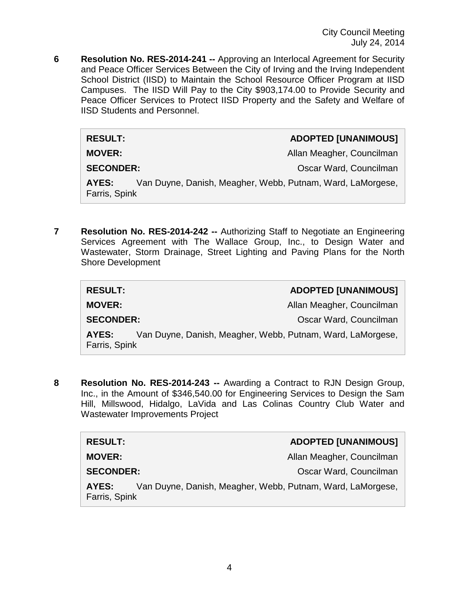**6 Resolution No. RES-2014-241 --** Approving an Interlocal Agreement for Security and Peace Officer Services Between the City of Irving and the Irving Independent School District (IISD) to Maintain the School Resource Officer Program at IISD Campuses. The IISD Will Pay to the City \$903,174.00 to Provide Security and Peace Officer Services to Protect IISD Property and the Safety and Welfare of IISD Students and Personnel.

| <b>RESULT:</b>                                                                       | <b>ADOPTED [UNANIMOUS]</b> |
|--------------------------------------------------------------------------------------|----------------------------|
| <b>MOVER:</b>                                                                        | Allan Meagher, Councilman  |
| <b>SECONDER:</b>                                                                     | Oscar Ward, Councilman     |
| Van Duyne, Danish, Meagher, Webb, Putnam, Ward, LaMorgese,<br>AYES:<br>Farris, Spink |                            |

**7 Resolution No. RES-2014-242 --** Authorizing Staff to Negotiate an Engineering Services Agreement with The Wallace Group, Inc., to Design Water and Wastewater, Storm Drainage, Street Lighting and Paving Plans for the North Shore Development

| <b>RESULT:</b>         |                                                            | <b>ADOPTED [UNANIMOUS]</b> |
|------------------------|------------------------------------------------------------|----------------------------|
| <b>MOVER:</b>          |                                                            | Allan Meagher, Councilman  |
| <b>SECONDER:</b>       |                                                            | Oscar Ward, Councilman     |
| AYES:<br>Farris, Spink | Van Duyne, Danish, Meagher, Webb, Putnam, Ward, LaMorgese, |                            |

**8 Resolution No. RES-2014-243 --** Awarding a Contract to RJN Design Group, Inc., in the Amount of \$346,540.00 for Engineering Services to Design the Sam Hill, Millswood, Hidalgo, LaVida and Las Colinas Country Club Water and Wastewater Improvements Project

| <b>RESULT:</b>         |                                                            | <b>ADOPTED [UNANIMOUS]</b> |
|------------------------|------------------------------------------------------------|----------------------------|
| <b>MOVER:</b>          |                                                            | Allan Meagher, Councilman  |
| <b>SECONDER:</b>       |                                                            | Oscar Ward, Councilman     |
| AYES:<br>Farris, Spink | Van Duyne, Danish, Meagher, Webb, Putnam, Ward, LaMorgese, |                            |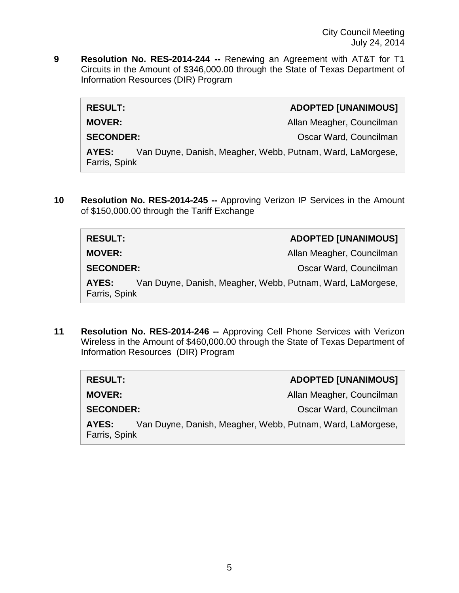**9 Resolution No. RES-2014-244 --** Renewing an Agreement with AT&T for T1 Circuits in the Amount of \$346,000.00 through the State of Texas Department of Information Resources (DIR) Program

| <b>RESULT:</b>                                                                       | <b>ADOPTED [UNANIMOUS]</b> |
|--------------------------------------------------------------------------------------|----------------------------|
| <b>MOVER:</b>                                                                        | Allan Meagher, Councilman  |
| <b>SECONDER:</b>                                                                     | Oscar Ward, Councilman     |
| Van Duyne, Danish, Meagher, Webb, Putnam, Ward, LaMorgese,<br>AYES:<br>Farris, Spink |                            |

**10 Resolution No. RES-2014-245 --** Approving Verizon IP Services in the Amount of \$150,000.00 through the Tariff Exchange

| <b>RESULT:</b>                                                                       | <b>ADOPTED [UNANIMOUS]</b> |
|--------------------------------------------------------------------------------------|----------------------------|
| <b>MOVER:</b>                                                                        | Allan Meagher, Councilman  |
| <b>SECONDER:</b>                                                                     | Oscar Ward, Councilman     |
| Van Duyne, Danish, Meagher, Webb, Putnam, Ward, LaMorgese,<br>AYES:<br>Farris, Spink |                            |

**11 Resolution No. RES-2014-246 --** Approving Cell Phone Services with Verizon Wireless in the Amount of \$460,000.00 through the State of Texas Department of Information Resources (DIR) Program

| <b>RESULT:</b>                                                                       | <b>ADOPTED [UNANIMOUS]</b> |
|--------------------------------------------------------------------------------------|----------------------------|
| <b>MOVER:</b>                                                                        | Allan Meagher, Councilman  |
| <b>SECONDER:</b>                                                                     | Oscar Ward, Councilman     |
| Van Duyne, Danish, Meagher, Webb, Putnam, Ward, LaMorgese,<br>AYES:<br>Farris, Spink |                            |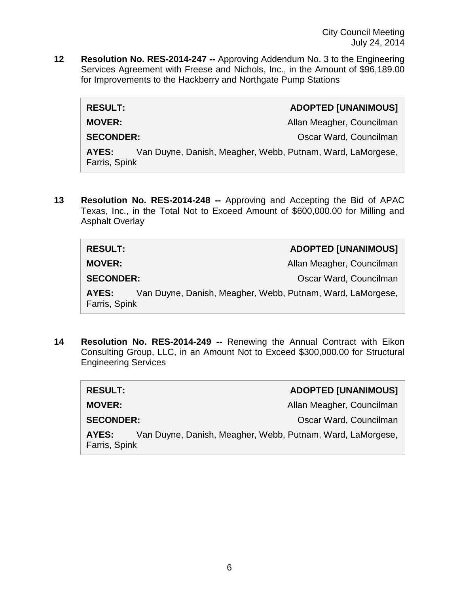City Council Meeting July 24, 2014

**12 Resolution No. RES-2014-247 --** Approving Addendum No. 3 to the Engineering Services Agreement with Freese and Nichols, Inc., in the Amount of \$96,189.00 for Improvements to the Hackberry and Northgate Pump Stations

| <b>RESULT:</b>                                                                       | <b>ADOPTED [UNANIMOUS]</b> |
|--------------------------------------------------------------------------------------|----------------------------|
| <b>MOVER:</b>                                                                        | Allan Meagher, Councilman  |
| <b>SECONDER:</b>                                                                     | Oscar Ward, Councilman     |
| Van Duyne, Danish, Meagher, Webb, Putnam, Ward, LaMorgese,<br>AYES:<br>Farris, Spink |                            |

**13 Resolution No. RES-2014-248 --** Approving and Accepting the Bid of APAC Texas, Inc., in the Total Not to Exceed Amount of \$600,000.00 for Milling and Asphalt Overlay

| <b>RESULT:</b>                                                                       | <b>ADOPTED [UNANIMOUS]</b> |
|--------------------------------------------------------------------------------------|----------------------------|
| <b>MOVER:</b>                                                                        | Allan Meagher, Councilman  |
| <b>SECONDER:</b>                                                                     | Oscar Ward, Councilman     |
| Van Duyne, Danish, Meagher, Webb, Putnam, Ward, LaMorgese,<br>AYES:<br>Farris, Spink |                            |

**14 Resolution No. RES-2014-249 --** Renewing the Annual Contract with Eikon Consulting Group, LLC, in an Amount Not to Exceed \$300,000.00 for Structural Engineering Services

| <b>RESULT:</b>                                                                       | <b>ADOPTED [UNANIMOUS]</b> |
|--------------------------------------------------------------------------------------|----------------------------|
| <b>MOVER:</b>                                                                        | Allan Meagher, Councilman  |
| <b>SECONDER:</b>                                                                     | Oscar Ward, Councilman     |
| Van Duyne, Danish, Meagher, Webb, Putnam, Ward, LaMorgese,<br>AYES:<br>Farris, Spink |                            |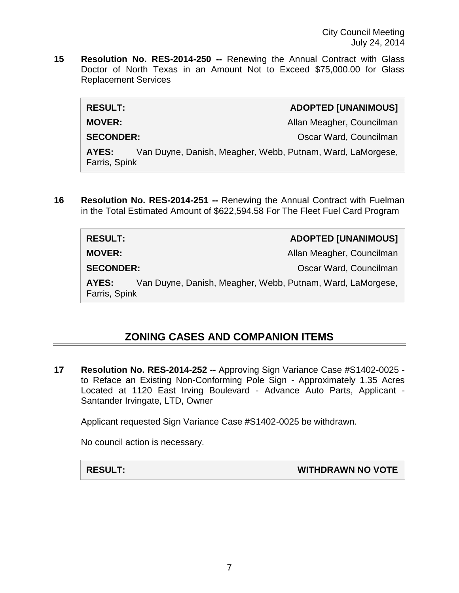City Council Meeting July 24, 2014

**15 Resolution No. RES-2014-250 --** Renewing the Annual Contract with Glass Doctor of North Texas in an Amount Not to Exceed \$75,000.00 for Glass Replacement Services

| <b>RESULT:</b>         | <b>ADOPTED [UNANIMOUS]</b>                                 |
|------------------------|------------------------------------------------------------|
| <b>MOVER:</b>          | Allan Meagher, Councilman                                  |
| <b>SECONDER:</b>       | Oscar Ward, Councilman                                     |
| AYES:<br>Farris, Spink | Van Duyne, Danish, Meagher, Webb, Putnam, Ward, LaMorgese, |
|                        |                                                            |

**16 Resolution No. RES-2014-251 --** Renewing the Annual Contract with Fuelman in the Total Estimated Amount of \$622,594.58 For The Fleet Fuel Card Program

| <b>RESULT:</b>                                                                       | <b>ADOPTED [UNANIMOUS]</b> |
|--------------------------------------------------------------------------------------|----------------------------|
| <b>MOVER:</b>                                                                        | Allan Meagher, Councilman  |
| <b>SECONDER:</b>                                                                     | Oscar Ward, Councilman     |
| Van Duyne, Danish, Meagher, Webb, Putnam, Ward, LaMorgese,<br>AYES:<br>Farris, Spink |                            |

# **ZONING CASES AND COMPANION ITEMS**

**17 Resolution No. RES-2014-252 --** Approving Sign Variance Case #S1402-0025 to Reface an Existing Non-Conforming Pole Sign - Approximately 1.35 Acres Located at 1120 East Irving Boulevard - Advance Auto Parts, Applicant - Santander Irvingate, LTD, Owner

Applicant requested Sign Variance Case #S1402-0025 be withdrawn.

No council action is necessary.

**RESULT: WITHDRAWN NO VOTE**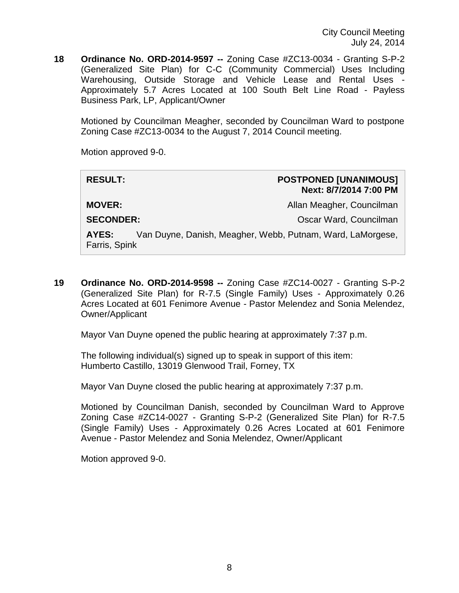**18 Ordinance No. ORD-2014-9597 --** Zoning Case #ZC13-0034 - Granting S-P-2 (Generalized Site Plan) for C-C (Community Commercial) Uses Including Warehousing, Outside Storage and Vehicle Lease and Rental Uses - Approximately 5.7 Acres Located at 100 South Belt Line Road - Payless Business Park, LP, Applicant/Owner

Motioned by Councilman Meagher, seconded by Councilman Ward to postpone Zoning Case #ZC13-0034 to the August 7, 2014 Council meeting.

Motion approved 9-0.

#### **RESULT: POSTPONED [UNANIMOUS] Next: 8/7/2014 7:00 PM**

**MOVER:** Allan Meagher, Councilman

**SECONDER:** COUNTER COUNTER SECONDER:

**AYES:** Van Duyne, Danish, Meagher, Webb, Putnam, Ward, LaMorgese, Farris, Spink

**19 Ordinance No. ORD-2014-9598 --** Zoning Case #ZC14-0027 - Granting S-P-2 (Generalized Site Plan) for R-7.5 (Single Family) Uses - Approximately 0.26 Acres Located at 601 Fenimore Avenue - Pastor Melendez and Sonia Melendez, Owner/Applicant

Mayor Van Duyne opened the public hearing at approximately 7:37 p.m.

The following individual(s) signed up to speak in support of this item: Humberto Castillo, 13019 Glenwood Trail, Forney, TX

Mayor Van Duyne closed the public hearing at approximately 7:37 p.m.

Motioned by Councilman Danish, seconded by Councilman Ward to Approve Zoning Case #ZC14-0027 - Granting S-P-2 (Generalized Site Plan) for R-7.5 (Single Family) Uses - Approximately 0.26 Acres Located at 601 Fenimore Avenue - Pastor Melendez and Sonia Melendez, Owner/Applicant

Motion approved 9-0.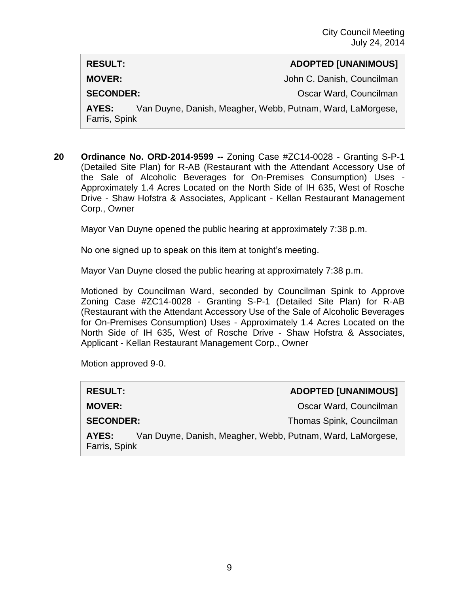#### **RESULT: ADOPTED [UNANIMOUS]**

**MOVER:** John C. Danish, Councilman

**SECONDER:** COUNTER COUNTER SECONDER:

**AYES:** Van Duyne, Danish, Meagher, Webb, Putnam, Ward, LaMorgese, Farris, Spink

**20 Ordinance No. ORD-2014-9599 --** Zoning Case #ZC14-0028 - Granting S-P-1 (Detailed Site Plan) for R-AB (Restaurant with the Attendant Accessory Use of the Sale of Alcoholic Beverages for On-Premises Consumption) Uses - Approximately 1.4 Acres Located on the North Side of IH 635, West of Rosche Drive - Shaw Hofstra & Associates, Applicant - Kellan Restaurant Management Corp., Owner

Mayor Van Duyne opened the public hearing at approximately 7:38 p.m.

No one signed up to speak on this item at tonight's meeting.

Mayor Van Duyne closed the public hearing at approximately 7:38 p.m.

Motioned by Councilman Ward, seconded by Councilman Spink to Approve Zoning Case #ZC14-0028 - Granting S-P-1 (Detailed Site Plan) for R-AB (Restaurant with the Attendant Accessory Use of the Sale of Alcoholic Beverages for On-Premises Consumption) Uses - Approximately 1.4 Acres Located on the North Side of IH 635, West of Rosche Drive - Shaw Hofstra & Associates, Applicant - Kellan Restaurant Management Corp., Owner

Motion approved 9-0.

| <b>RESULT:</b>                                                                       |  | <b>ADOPTED [UNANIMOUS]</b> |
|--------------------------------------------------------------------------------------|--|----------------------------|
| <b>MOVER:</b>                                                                        |  | Oscar Ward, Councilman     |
| <b>SECONDER:</b>                                                                     |  | Thomas Spink, Councilman   |
| Van Duyne, Danish, Meagher, Webb, Putnam, Ward, LaMorgese,<br>AYES:<br>Farris, Spink |  |                            |